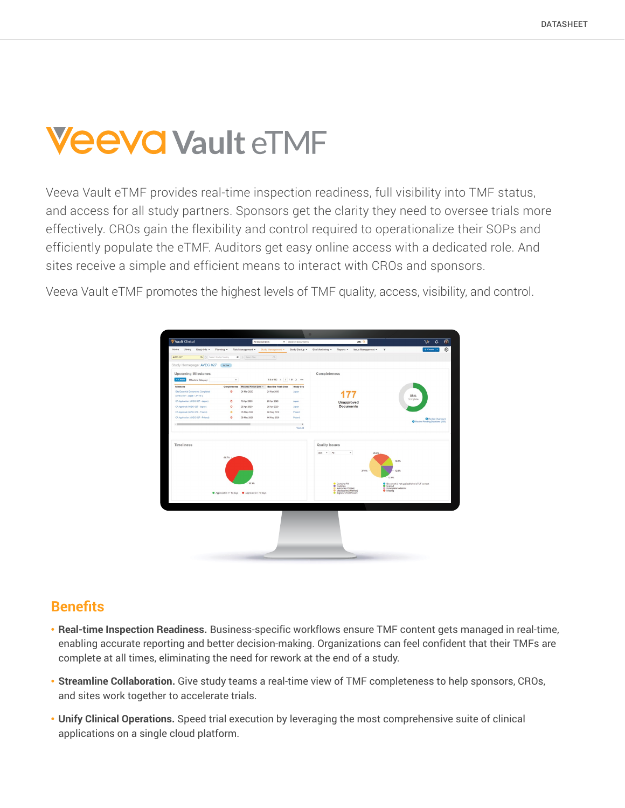# **Veeva Vault eTMF**

Veeva Vault eTMF provides real-time inspection readiness, full visibility into TMF status, and access for all study partners. Sponsors get the clarity they need to oversee trials more effectively. CROs gain the flexibility and control required to operationalize their SOPs and efficiently populate the eTMF. Auditors get easy online access with a dedicated role. And sites receive a simple and efficient means to interact with CROs and sponsors.

Veeva Vault eTMF promotes the highest levels of TMF quality, access, visibility, and control.



### **Benefits**

- **Real-time Inspection Readiness.** Business-specific workflows ensure TMF content gets managed in real-time, enabling accurate reporting and better decision-making. Organizations can feel confident that their TMFs are complete at all times, eliminating the need for rework at the end of a study.
- **Streamline Collaboration.** Give study teams a real-time view of TMF completeness to help sponsors, CROs, and sites work together to accelerate trials.
- **Unify Clinical Operations.** Speed trial execution by leveraging the most comprehensive suite of clinical applications on a single cloud platform.